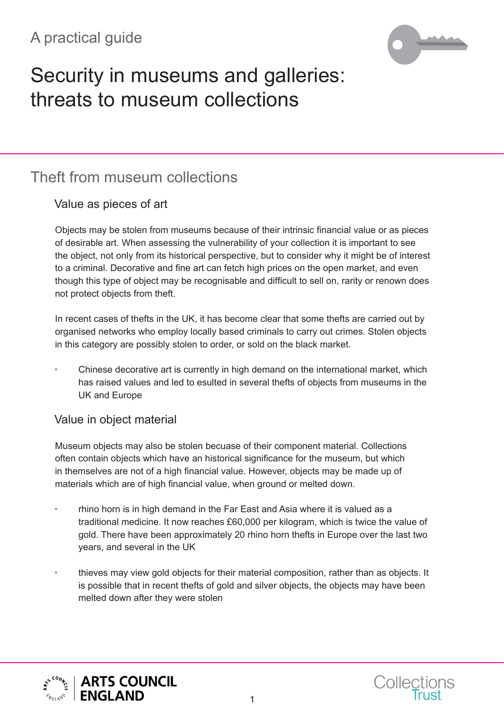## A practical guide



# Security in museums and galleries: threats to museum collections

### Theft from museum collections

#### Value as pieces of art

Objects may be stolen from museums because of their intrinsic financial value or as pieces of desirable art. When assessing the vulnerability of your collection it is important to see the object, not only from its historical perspective, but to consider why it might be of interest to a criminal. Decorative and fine art can fetch high prices on the open market, and even though this type of object may be recognisable and difficult to sell on, rarity or renown does not protect objects from theft.

In recent cases of thefts in the UK, it has become clear that some thefts are carried out by organised networks who employ locally based criminals to carry out crimes. Stolen objects in this category are possibly stolen to order, or sold on the black market.

• Chinese decorative art is currently in high demand on the international market, which has raised values and led to esulted in several thefts of objects from museums in the UK and Europe

#### Value in object material

Museum objects may also be stolen becuase of their component material. Collections often contain objects which have an historical significance for the museum, but which in themselves are not of a high financial value. However, objects may be made up of materials which are of high financial value, when ground or melted down.

- rhino horn is in high demand in the Far East and Asia where it is valued as a traditional medicine. It now reaches £60,000 per kilogram, which is twice the value of gold. There have been approximately 20 rhino horn thefts in Europe over the last two years, and several in the UK
- thieves may view gold objects for their material composition, rather than as objects. It is possible that in recent thefts of gold and silver objects, the objects may have been melted down after they were stolen